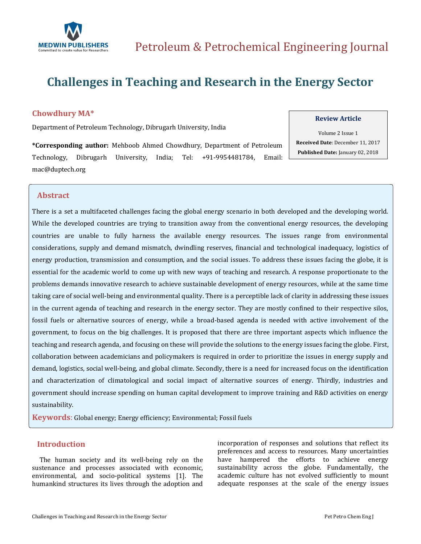

# **Challenges in Teaching and Research in the Energy Sector**

## **Chowdhury MA\***

Department of Petroleum Technology, Dibrugarh University, India

**\*Corresponding author:** Mehboob Ahmed Chowdhury, Department of Petroleum Technology, Dibrugarh University, India; Tel: +91-9954481784, Email: [mac@duptech.org](mailto:mac@duptech.org)

### **Review Article**

Volume 2 Issue 1 **Received Date**: December 11, 2017 **Published Date:** January 02, 2018

## **Abstract**

There is a set a multifaceted challenges facing the global energy scenario in both developed and the developing world. While the developed countries are trying to transition away from the conventional energy resources, the developing countries are unable to fully harness the available energy resources. The issues range from environmental considerations, supply and demand mismatch, dwindling reserves, financial and technological inadequacy, logistics of energy production, transmission and consumption, and the social issues. To address these issues facing the globe, it is essential for the academic world to come up with new ways of teaching and research. A response proportionate to the problems demands innovative research to achieve sustainable development of energy resources, while at the same time taking care of social well-being and environmental quality. There is a perceptible lack of clarity in addressing these issues in the current agenda of teaching and research in the energy sector. They are mostly confined to their respective silos, fossil fuels or alternative sources of energy, while a broad-based agenda is needed with active involvement of the government, to focus on the big challenges. It is proposed that there are three important aspects which influence the teaching and research agenda, and focusing on these will provide the solutions to the energy issues facing the globe. First, collaboration between academicians and policymakers is required in order to prioritize the issues in energy supply and demand, logistics, social well-being, and global climate. Secondly, there is a need for increased focus on the identification and characterization of climatological and social impact of alternative sources of energy. Thirdly, industries and government should increase spending on human capital development to improve training and R&D activities on energy sustainability.

**Keywords**: Global energy; Energy efficiency; Environmental; Fossil fuels

## **Introduction**

 The human society and its well-being rely on the sustenance and processes associated with economic, environmental, and socio-political systems [1]. The humankind structures its lives through the adoption and incorporation of responses and solutions that reflect its preferences and access to resources. Many uncertainties have hampered the efforts to achieve energy sustainability across the globe. Fundamentally, the academic culture has not evolved sufficiently to mount adequate responses at the scale of the energy issues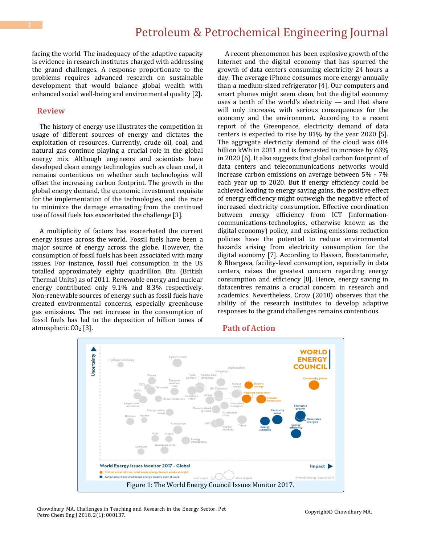## Petroleum & Petrochemical Engineering Journal

facing the world. The inadequacy of the adaptive capacity is evidence in research institutes charged with addressing the grand challenges. A response proportionate to the problems requires advanced research on sustainable development that would balance global wealth with enhanced social well-being and environmental quality [2].

#### **Review**

 The history of energy use illustrates the competition in usage of different sources of energy and dictates the exploitation of resources. Currently, crude oil, coal, and natural gas continue playing a crucial role in the global energy mix. Although engineers and scientists have developed clean energy technologies such as clean coal, it remains contentious on whether such technologies will offset the increasing carbon footprint. The growth in the global energy demand, the economic investment requisite for the implementation of the technologies, and the race to minimize the damage emanating from the continued use of fossil fuels has exacerbated the challenge [3].

 A multiplicity of factors has exacerbated the current energy issues across the world. Fossil fuels have been a major source of energy across the globe. However, the consumption of fossil fuels has been associated with many issues. For instance, fossil fuel consumption in the US totalled approximately eighty quadrillion Btu (British Thermal Units) as of 2011. Renewable energy and nuclear energy contributed only 9.1% and 8.3% respectively. Non-renewable sources of energy such as fossil fuels have created environmental concerns, especially greenhouse gas emissions. The net increase in the consumption of fossil fuels has led to the deposition of billion tones of atmospheric  $CO<sub>2</sub>$  [3].

 A recent phenomenon has been explosive growth of the Internet and the digital economy that has spurred the growth of data centers consuming electricity 24 hours a day. The average iPhone consumes more energy annually than a medium-sized refrigerator [4]. Our computers and smart phones might seem clean, but the digital economy uses a tenth of the world's electricity — and that share will only increase, with serious consequences for the economy and the environment. According to a recent report of the Greenpeace, electricity demand of data centers is expected to rise by 81% by the year 2020 [5]. The aggregate electricity demand of the cloud was 684 billion kWh in 2011 and is forecasted to increase by 63% in 2020 [6]. It also suggests that global carbon footprint of data centers and telecommunications networks would increase carbon emissions on average between 5% - 7% each year up to 2020. But if energy efficiency could be achieved leading to energy saving gains, the positive effect of energy efficiency might outweigh the negative effect of increased electricity consumption. Effective coordination between energy efficiency from ICT (informationcommunications-technologies, otherwise known as the digital economy) policy, and existing emissions reduction policies have the potential to reduce environmental hazards arising from electricity consumption for the digital economy [7]. According to Hassan, Boostanimehr, & Bhargava, facility-level consumption, especially in data centers, raises the greatest concern regarding energy consumption and efficiency [8]. Hence, energy saving in datacentres remains a crucial concern in research and academics. Nevertheless, Crow (2010) observes that the ability of the research institutes to develop adaptive responses to the grand challenges remains contentious.

#### **Path of Action**



Chowdhury MA. Challenges in Teaching and Research in the Energy Sector. Pet Petro Chem Eng J 2018, 2(1): 000137.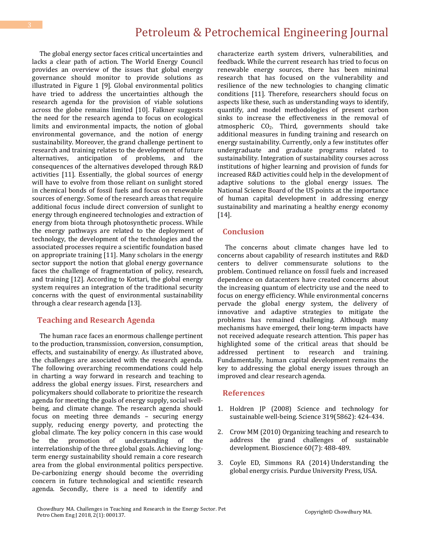The global energy sector faces critical uncertainties and lacks a clear path of action. The World Energy Council provides an overview of the issues that global energy governance should monitor to provide solutions as illustrated in Figure 1 [9]. Global environmental politics have tried to address the uncertainties although the research agenda for the provision of viable solutions across the globe remains limited [10]. Falkner suggests the need for the research agenda to focus on ecological limits and environmental impacts, the notion of global environmental governance, and the notion of energy sustainability. Moreover, the grand challenge pertinent to research and training relates to the development of future alternatives, anticipation of problems, and the consequences of the alternatives developed through R&D activities [11]. Essentially, the global sources of energy will have to evolve from those reliant on sunlight stored in chemical bonds of fossil fuels and focus on renewable sources of energy. Some of the research areas that require additional focus include direct conversion of sunlight to energy through engineered technologies and extraction of energy from biota through photosynthetic process. While the energy pathways are related to the deployment of technology, the development of the technologies and the associated processes require a scientific foundation based on appropriate training [11]. Many scholars in the energy sector support the notion that global energy governance faces the challenge of fragmentation of policy, research, and training [12]. According to Kottari, the global energy system requires an integration of the traditional security concerns with the quest of environmental sustainability through a clear research agenda [13].

### **Teaching and Research Agenda**

 The human race faces an enormous challenge pertinent to the production, transmission, conversion, consumption, effects, and sustainability of energy. As illustrated above, the challenges are associated with the research agenda. The following overarching recommendations could help in charting a way forward in research and teaching to address the global energy issues. First, researchers and policymakers should collaborate to prioritize the research agenda for meeting the goals of energy supply, social wellbeing, and climate change. The research agenda should focus on meeting three demands – securing energy supply, reducing energy poverty, and protecting the global climate. The key policy concern in this case would be the promotion of understanding of the interrelationship of the three global goals. Achieving longterm energy sustainability should remain a core research area from the global environmental politics perspective. De-carbonizing energy should become the overriding concern in future technological and scientific research agenda. Secondly, there is a need to identify and characterize earth system drivers, vulnerabilities, and feedback. While the current research has tried to focus on renewable energy sources, there has been minimal research that has focused on the vulnerability and resilience of the new technologies to changing climatic conditions [11]. Therefore, researchers should focus on aspects like these, such as understanding ways to identify, quantify, and model methodologies of present carbon sinks to increase the effectiveness in the removal of atmospheric  $CO<sub>2</sub>$ . Third, governments should take additional measures in funding training and research on energy sustainability. Currently, only a few institutes offer undergraduate and graduate programs related to sustainability. Integration of sustainability courses across institutions of higher learning and provision of funds for increased R&D activities could help in the development of adaptive solutions to the global energy issues. The National Science Board of the US points at the importance of human capital development in addressing energy sustainability and marinating a healthy energy economy [14].

#### **Conclusion**

 The concerns about climate changes have led to concerns about capability of research institutes and R&D centers to deliver commensurate solutions to the problem. Continued reliance on fossil fuels and increased dependence on datacenters have created concerns about the increasing quantum of electricity use and the need to focus on energy efficiency. While environmental concerns pervade the global energy system, the delivery of innovative and adaptive strategies to mitigate the problems has remained challenging. Although many mechanisms have emerged, their long-term impacts have not received adequate research attention. This paper has highlighted some of the critical areas that should be addressed pertinent to research and training. Fundamentally, human capital development remains the key to addressing the global energy issues through an improved and clear research agenda.

#### **References**

- 1. [Holdren JP \(2008\) Science and technology for](http://science.sciencemag.org/content/319/5862/424.full)  [sustainable well-being.](http://science.sciencemag.org/content/319/5862/424.full) Science 319(5862): 424-434.
- 2. [Crow MM \(2010\) Organizing teaching and research to](https://president.asu.edu/sites/default/files/BioScience%20Article%20070110%20Organizing%20to%20Address%20Grand%20Challenges%20Sustainable%20Dev.pdf)  [address the grand challenges of sustainable](https://president.asu.edu/sites/default/files/BioScience%20Article%20070110%20Organizing%20to%20Address%20Grand%20Challenges%20Sustainable%20Dev.pdf)  development. Bioscience [60\(7\): 488-489.](https://president.asu.edu/sites/default/files/BioScience%20Article%20070110%20Organizing%20to%20Address%20Grand%20Challenges%20Sustainable%20Dev.pdf)
- 3. [Coyle ED, Simmons RA \(2014\)](https://docs.lib.purdue.edu/cgi/viewcontent.cgi?article=1028&context=purduepress_ebooks) Understanding the [global energy crisis. Purdue University Press, USA.](https://docs.lib.purdue.edu/cgi/viewcontent.cgi?article=1028&context=purduepress_ebooks)